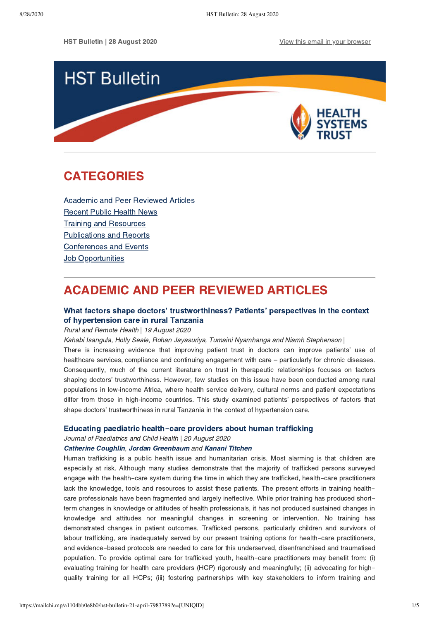HST Bulletin | 28 August 2020 **[View this email in your browser](https://mailchi.mp/a1104bb0e8b0/hst-bulletin-21-april-7983789?e=[UNIQID])** 



# <span id="page-0-1"></span>CATEGORIES

[Academic and Peer Reviewed Articles](#page-0-0) [Recent Public Health News](#page-1-0) Training and Resources [Publications and Reports](#page-2-0) [Conferences and Events](#page-4-0) **Job Opportunities** 

# <span id="page-0-0"></span>ACADEMIC AND PEER REVIEWED ARTICLES

# [What factors shape doctors' trustworthiness? Patients' perspectives in the context](https://www.rrh.org.au/journal/article/5826) of hypertension care in rural Tanzania

## Rural and Remote Health | 19 August 2020

Kahabi Isangula, Holly Seale, Rohan Jayasuriya, Tumaini Nyamhanga and Niamh Stephenson |

There is increasing evidence that improving patient trust in doctors can improve patients' use of healthcare services, compliance and continuing engagement with care – particularly for chronic diseases. Consequently, much of the current literature on trust in therapeutic relationships focuses on factors shaping doctors' trustworthiness. However, few studies on this issue have been conducted among rural populations in low-income Africa, where health service delivery, cultural norms and patient expectations differ from those in high-income countries. This study examined patients' perspectives of factors that shape doctors' trustworthiness in rural Tanzania in the context of hypertension care.

### [Educating paediatric health](https://onlinelibrary.wiley.com/doi/full/10.1111/jpc.15116)**-**[care providers about human trafficking](https://onlinelibrary.wiley.com/doi/full/10.1111/jpc.15116)

Journal of Paediatrics and Child Health | 20 August 2020

## [Catherine Coughlin,](https://onlinelibrary.wiley.com/action/doSearch?ContribAuthorStored=Coughlin%2C+Catherine+G) [Jordan Greenbaum](https://onlinelibrary.wiley.com/action/doSearch?ContribAuthorStored=Greenbaum%2C+Jordan) and [Kanani Titchen](https://onlinelibrary.wiley.com/action/doSearch?ContribAuthorStored=Titchen%2C+Kanani)

Human trafficking is a public health issue and humanitarian crisis. Most alarming is that children are especially at risk. Although many studies demonstrate that the majority of trafficked persons surveyed engage with the health-care system during the time in which they are trafficked, health-care practitioners lack the knowledge, tools and resources to assist these patients. The present efforts in training healthcare professionals have been fragmented and largely ineffective. While prior training has produced shortterm changes in knowledge or attitudes of health professionals, it has not produced sustained changes in knowledge and attitudes nor meaningful changes in screening or intervention. No training has demonstrated changes in patient outcomes. Trafficked persons, particularly children and survivors of labour trafficking, are inadequately served by our present training options for health-care practitioners, and evidence-based protocols are needed to care for this underserved, disenfranchised and traumatised population. To provide optimal care for trafficked youth, health-care practitioners may benefit from: (i) evaluating training for health care providers (HCP) rigorously and meaningfully; (ii) advocating for highquality training for all HCPs; (iii) fostering partnerships with key stakeholders to inform training and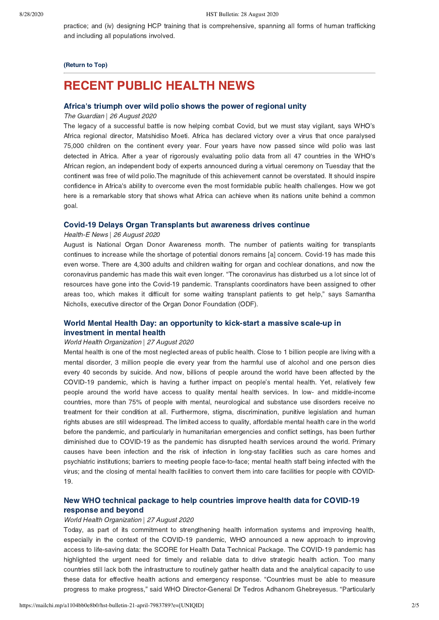practice; and (iv) designing HCP training that is comprehensive, spanning all forms of human trafficking and including all populations involved.

#### [\(Return to Top\)](#page-0-1)

# <span id="page-1-0"></span>RECENT PUBLIC HEALTH NEWS

## [Africa's triumph over wild polio shows the power of regional unity](https://www.theguardian.com/global-development/2020/aug/26/africa-triumph-over-wild-polio-shows-the-power-of-regional-unity)

The Guardian | 26 August 2020

The legacy of a successful battle is now helping combat Covid, but we must stay vigilant, says WHO's Africa regional director, Matshidiso Moeti. Africa has declared victory over a virus that once paralysed 75,000 children on the continent every year. Four years have now passed since wild polio was last detected in Africa. After a year of rigorously evaluating polio data from all 47 countries in the WHO's African region, an independent body of experts announced during a virtual ceremony on Tuesday that the continent was free of wild polio.The magnitude of this achievement cannot be overstated. It should inspire confidence in Africa's ability to overcome even the most formidable public health challenges. How we got here is a remarkable story that shows what Africa can achieve when its nations unite behind a common goal.

### [Covid-19 Delays Organ Transplants but awareness drives continue](https://health-e.org.za/2020/08/26/covid-19-delays-organ-transplants-but-awareness-drives-continue/)

#### Health-E News | 26 August 2020

August is National Organ Donor Awareness month. The number of patients waiting for transplants continues to increase while the shortage of potential donors remains [a] concern. Covid-19 has made this even worse. There are 4,300 adults and children waiting for organ and cochlear donations, and now the coronavirus pandemic has made this wait even longer. "The coronavirus has disturbed us a lot since lot of resources have gone into the Covid-19 pandemic. Transplants coordinators have been assigned to other areas too, which makes it difficult for some waiting transplant patients to get help," says Samantha Nicholls, executive director of the Organ Donor Foundation (ODF).

# [World Mental Health Day: an opportunity to kick-start a massive scale-up in](https://www.who.int/news-room/detail/27-08-2020-world-mental-health-day-an-opportunity-to-kick-start-a-massive-scale-up-in-investment-in-mental-health) investment in mental health

#### World Health Organization | 27 August 2020

Mental health is one of the most neglected areas of public health. Close to 1 billion people are living with a mental disorder, 3 million people die every year from the harmful use of alcohol and one person dies every 40 seconds by suicide. And now, billions of people around the world have been affected by the COVID-19 pandemic, which is having a further impact on people's mental health. Yet, relatively few people around the world have access to quality mental health services. In low- and middle-income countries, more than 75% of people with mental, neurological and substance use disorders receive no treatment for their condition at all. Furthermore, stigma, discrimination, punitive legislation and human rights abuses are still widespread. The limited access to quality, affordable mental health care in the world before the pandemic, and particularly in humanitarian emergencies and conflict settings, has been further diminished due to COVID-19 as the pandemic has disrupted health services around the world. Primary causes have been infection and the risk of infection in long-stay facilities such as care homes and psychiatric institutions; barriers to meeting people face-to-face; mental health staff being infected with the virus; and the closing of mental health facilities to convert them into care facilities for people with COVID-19.

# [New WHO technical package to help countries improve health data for COVID-19](https://www.who.int/news-room/detail/27-08-2020-new-who-technical-package-health-data-for-covid-19-response%C2%A0) response and beyond

### World Health Organization | 27 August 2020

Today, as part of its commitment to strengthening health information systems and improving health, especially in the context of the COVID-19 pandemic, WHO announced a new approach to improving access to life-saving data: the SCORE for Health Data Technical Package. The COVID-19 pandemic has highlighted the urgent need for timely and reliable data to drive strategic health action. Too many countries still lack both the infrastructure to routinely gather health data and the analytical capacity to use these data for effective health actions and emergency response. "Countries must be able to measure progress to make progress," said WHO Director-General Dr Tedros Adhanom Ghebreyesus. "Particularly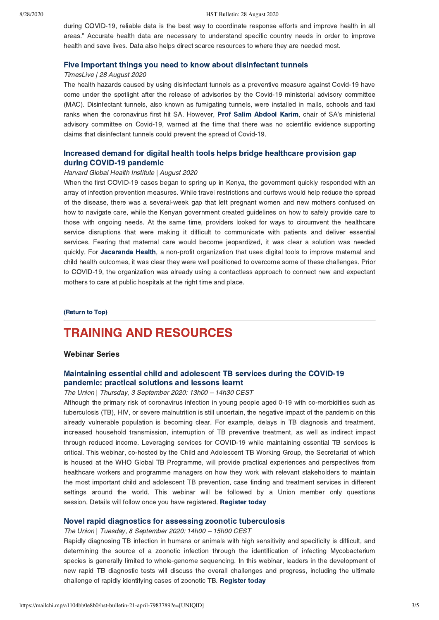#### 8/28/2020 HST Bulletin: 28 August 2020

during COVID-19, reliable data is the best way to coordinate response efforts and improve health in all areas." Accurate health data are necessary to understand specific country needs in order to improve health and save lives. Data also helps direct scarce resources to where they are needed most.

### [Five important things you need to know about disinfectant tunnels](https://www.timeslive.co.za/news/south-africa/2020-08-28-five-important-things-you-need-to-know-about-disinfectant-tunnels/)

## TimesLive | 28 August 2020

The health hazards caused by using disinfectant tunnels as a preventive measure against Covid-19 have come under the spotlight after the release of advisories by the Covid-19 ministerial advisory committee (MAC). Disinfectant tunnels, also known as fumigating tunnels, were installed in malls, schools and taxi ranks when the coronavirus first hit SA. However, [Prof Salim Abdool Karim](https://select.timeslive.co.za/news/2020-06-11-spray-take-note-disinfectant-tunnels-do-more-harm-than-good/), chair of SA's ministerial advisory committee on Covid-19, warned at the time that there was no scientific evidence supporting claims that disinfectant tunnels could prevent the spread of Covid-19.

## [Increased demand for digital health tools helps bridge healthcare provision gap](https://globalhealth.harvard.edu/increased-demand-for-digital-health-tools-helps-bridge-healthcare-provision-gap-during-covid-19-pandemic/) during COVID-19 pandemic

#### Harvard Global Health Institute | August 2020

When the first COVID-19 cases began to spring up in Kenya, the government quickly responded with an array of infection prevention measures. While travel restrictions and curfews would help reduce the spread of the disease, there was a several-week gap that left pregnant women and new mothers confused on how to navigate care, while the Kenyan government created guidelines on how to safely provide care to those with ongoing needs. At the same time, providers looked for ways to circumvent the healthcare service disruptions that were making it difficult to communicate with patients and deliver essential services. Fearing that maternal care would become jeopardized, it was clear a solution was needed quickly. For [Jacaranda Health,](https://www.jacarandahealth.org/) a non-profit organization that uses digital tools to improve maternal and child health outcomes, it was clear they were well positioned to overcome some of these challenges. Prior to COVID-19, the organization was already using a contactless approach to connect new and expectant mothers to care at public hospitals at the right time and place.

#### [\(Return to Top\)](#page-0-1)

# <span id="page-2-0"></span>TRAINING AND RESOURCES

## Webinar Series

# [Maintaining essential child and adolescent TB services during the COVID-19](https://protect-za.mimecast.com/s/2sWpC2RX8wcWBBAU1_4b0?domain=join.theunion.org) pandemic: practical solutions and lessons learnt

## The Union | Thursday, 3 September 2020: 13h00 – 14h30 CEST

Although the primary risk of coronavirus infection in young people aged 0-19 with co-morbidities such as tuberculosis (TB), HIV, or severe malnutrition is still uncertain, the negative impact of the pandemic on this already vulnerable population is becoming clear. For example, delays in TB diagnosis and treatment, increased household transmission, interruption of TB preventive treatment, as well as indirect impact through reduced income. Leveraging services for COVID-19 while maintaining essential TB services is critical. This webinar, co-hosted by the Child and Adolescent TB Working Group, the Secretariat of which is housed at the WHO Global TB Programme, will provide practical experiences and perspectives from healthcare workers and programme managers on how they work with relevant stakeholders to maintain the most important child and adolescent TB prevention, case finding and treatment services in different settings around the world. This webinar will be followed by a Union member only questions session. Details will follow once you have registered. [Register today](https://protect-za.mimecast.com/s/2sWpC2RX8wcWBBAU1_4b0?domain=join.theunion.org)

## [Novel rapid diagnostics for assessing zoonotic tuberculosis](https://protect-za.mimecast.com/s/4Dp7C3l36xIoyyVi2NcRo?domain=join.theunion.org)

#### The Union | Tuesday, 8 September 2020: 14h00 – 15h00 CEST

Rapidly diagnosing TB infection in humans or animals with high sensitivity and specificity is difficult, and determining the source of a zoonotic infection through the identification of infecting Mycobacterium species is generally limited to whole-genome sequencing. In this webinar, leaders in the development of new rapid TB diagnostic tests will discuss the overall challenges and progress, including the ultimate challenge of rapidly identifying cases of zoonotic TB. [Register today](https://protect-za.mimecast.com/s/4Dp7C3l36xIoyyVi2NcRo?domain=join.theunion.org)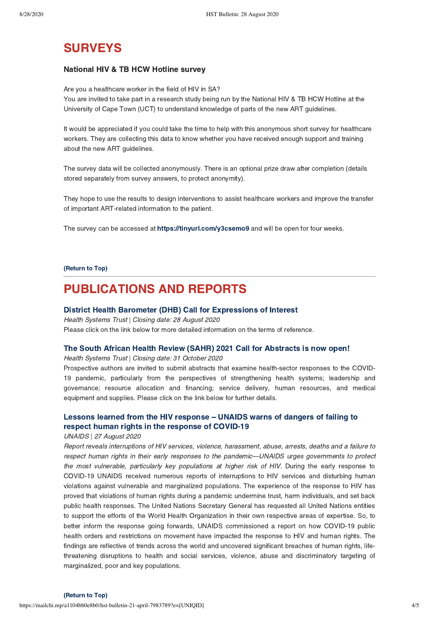# **SURVEYS**

## National HIV & TB HCW Hotline survey

Are you a healthcare worker in the field of HIV in SA? You are invited to take part in a research study being run by the National HIV & TB HCW Hotline at the University of Cape Town (UCT) to understand knowledge of parts of the new ART guidelines.

It would be appreciated if you could take the time to help with this anonymous short survey for healthcare workers. They are collecting this data to know whether you have received enough support and training about the new ART guidelines.

The survey data will be collected anonymously. There is an optional prize draw after completion (details stored separately from survey answers, to protect anonymity).

They hope to use the results to design interventions to assist healthcare workers and improve the transfer of important ART-related information to the patient.

The survey can be accessed at [https://tinyurl.com/y3csemo9](https://protect-za.mimecast.com/s/QbGgCKOG8VuLAmDSMSPho?domain=tinyurl.com) and will be open for four weeks.

### [\(Return to Top\)](#page-0-1)

# PUBLICATIONS AND REPORTS

## [District Health Barometer \(DHB\) Call for Expressions of Interest](https://www.hst.org.za/media/Documents/Health%20Systems%20Trust%20DHB%20201920%20Call%20for%20Expressions%20of%20Interest_BEN_FIN.pdf)

Health Systems Trust | Closing date: 28 August 2020 Please click on the link below for more detailed information on the terms of reference.

### [The South African Health Review \(SAHR\) 2021 Call for Abstracts is now open!](https://www.hst.org.za/media/Pages/SAHR-2021-Call-for-Abstracts.aspx)

Health Systems Trust | Closing date: 31 October 2020

Prospective authors are invited to submit abstracts that examine health-sector responses to the COVID-19 pandemic, particularly from the perspectives of strengthening health systems; leadership and governance; resource allocation and financing; service delivery, human resources, and medical equipment and supplies. Please click on the link below for further details.

# [Lessons learned from the HIV response – UNAIDS warns of dangers of failing to](https://www.unaids.org/en/resources/documents/2020/human-rights-and-covid-19) respect human rights in the response of COVID-19

### UNAIDS | 27 August 2020

Report reveals interruptions of HIV services, violence, harassment, abuse, arrests, deaths and a failure to respect human rights in their early responses to the pandemic—UNAIDS urges governments to protect the most vulnerable, particularly key populations at higher risk of HIV. During the early response to COVID-19 UNAIDS received numerous reports of interruptions to HIV services and disturbing human violations against vulnerable and marginalized populations. The experience of the response to HIV has proved that violations of human rights during a pandemic undermine trust, harm individuals, and set back public health responses. The United Nations Secretary General has requested all United Nations entities to support the efforts of the World Health Organization in their own respective areas of expertise. So, to better inform the response going forwards, UNAIDS commissioned a report on how COVID-19 public health orders and restrictions on movement have impacted the response to HIV and human rights. The findings are reflective of trends across the world and uncovered significant breaches of human rights, lifethreatening disruptions to health and social services, violence, abuse and discriminatory targeting of marginalized, poor and key populations.